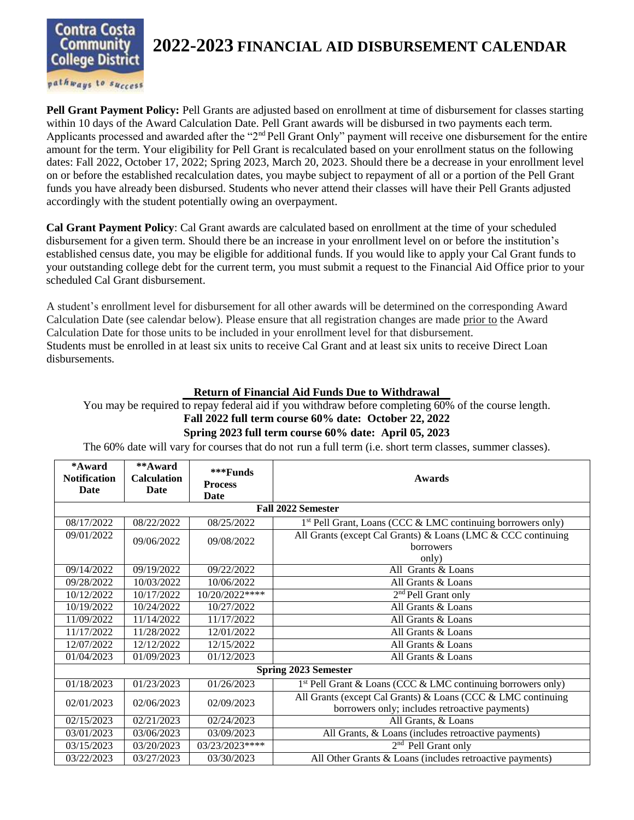

## **2022-2023 FINANCIAL AID DISBURSEMENT CALENDAR**

pathways to success

**Pell Grant Payment Policy:** Pell Grants are adjusted based on enrollment at time of disbursement for classes starting within 10 days of the Award Calculation Date. Pell Grant awards will be disbursed in two payments each term. Applicants processed and awarded after the "2<sup>nd</sup> Pell Grant Only" payment will receive one disbursement for the entire amount for the term. Your eligibility for Pell Grant is recalculated based on your enrollment status on the following dates: Fall 2022, October 17, 2022; Spring 2023, March 20, 2023. Should there be a decrease in your enrollment level on or before the established recalculation dates, you maybe subject to repayment of all or a portion of the Pell Grant funds you have already been disbursed. Students who never attend their classes will have their Pell Grants adjusted accordingly with the student potentially owing an overpayment.

**Cal Grant Payment Policy**: Cal Grant awards are calculated based on enrollment at the time of your scheduled disbursement for a given term. Should there be an increase in your enrollment level on or before the institution's established census date, you may be eligible for additional funds. If you would like to apply your Cal Grant funds to your outstanding college debt for the current term, you must submit a request to the Financial Aid Office prior to your scheduled Cal Grant disbursement.

A student's enrollment level for disbursement for all other awards will be determined on the corresponding Award Calculation Date (see calendar below). Please ensure that all registration changes are made prior to the Award Calculation Date for those units to be included in your enrollment level for that disbursement. Students must be enrolled in at least six units to receive Cal Grant and at least six units to receive Direct Loan disbursements.

## **Return of Financial Aid Funds Due to Withdrawal**

You may be required to repay federal aid if you withdraw before completing 60% of the course length. **Fall 2022 full term course 60% date: October 22, 2022 Spring 2023 full term course 60% date: April 05, 2023**

The 60% date will vary for courses that do not run a full term (i.e. short term classes, summer classes).

| *Award<br><b>Notification</b><br>Date | **Award<br><b>Calculation</b><br>Date | ***Funds<br><b>Process</b><br>Date | Awards                                                                   |  |  |
|---------------------------------------|---------------------------------------|------------------------------------|--------------------------------------------------------------------------|--|--|
| <b>Fall 2022 Semester</b>             |                                       |                                    |                                                                          |  |  |
| 08/17/2022                            | 08/22/2022                            | 08/25/2022                         | 1 <sup>st</sup> Pell Grant, Loans (CCC & LMC continuing borrowers only)  |  |  |
| 09/01/2022<br>09/06/2022              |                                       | 09/08/2022                         | All Grants (except Cal Grants) & Loans (LMC & CCC continuing             |  |  |
|                                       |                                       |                                    | borrowers                                                                |  |  |
| 09/14/2022                            | 09/19/2022                            | 09/22/2022                         | only)<br>All Grants & Loans                                              |  |  |
| 09/28/2022                            | 10/03/2022                            | 10/06/2022                         | All Grants & Loans                                                       |  |  |
| 10/12/2022                            | 10/17/2022                            | 10/20/2022****                     | 2 <sup>nd</sup> Pell Grant only                                          |  |  |
| 10/19/2022                            | 10/24/2022                            | 10/27/2022                         | All Grants & Loans                                                       |  |  |
| 11/09/2022                            | 11/14/2022                            | 11/17/2022                         | All Grants & Loans                                                       |  |  |
| 11/17/2022                            | 11/28/2022                            | 12/01/2022                         | All Grants & Loans                                                       |  |  |
| 12/07/2022                            | 12/12/2022                            | 12/15/2022                         | All Grants & Loans                                                       |  |  |
| 01/04/2023                            | 01/09/2023                            | 01/12/2023                         | All Grants & Loans                                                       |  |  |
| <b>Spring 2023 Semester</b>           |                                       |                                    |                                                                          |  |  |
| 01/18/2023                            | 01/23/2023                            | 01/26/2023                         | 1 <sup>st</sup> Pell Grant & Loans (CCC & LMC continuing borrowers only) |  |  |
| 02/01/2023                            | 02/06/2023                            | 02/09/2023                         | All Grants (except Cal Grants) & Loans (CCC & LMC continuing             |  |  |
|                                       |                                       |                                    | borrowers only; includes retroactive payments)                           |  |  |
| 02/15/2023                            | 02/21/2023                            | 02/24/2023                         | All Grants, & Loans                                                      |  |  |
| 03/01/2023                            | 03/06/2023                            | 03/09/2023                         | All Grants, & Loans (includes retroactive payments)                      |  |  |
| 03/15/2023                            | 03/20/2023                            | 03/23/2023****                     | $2nd$ Pell Grant only                                                    |  |  |
| 03/22/2023                            | 03/27/2023                            | 03/30/2023                         | All Other Grants & Loans (includes retroactive payments)                 |  |  |